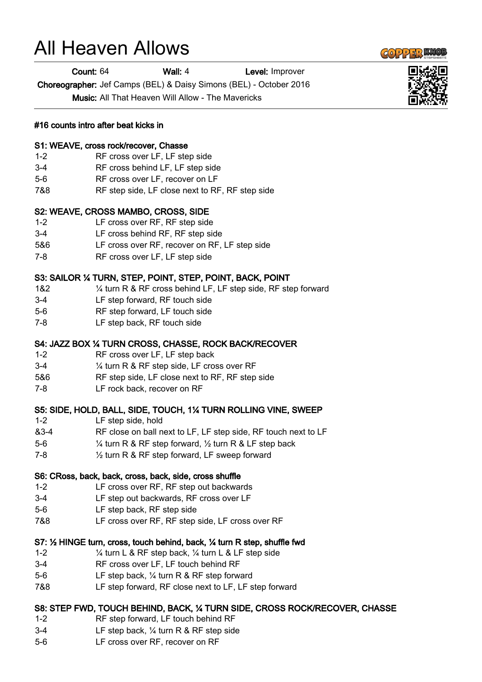# All Heaven Allows

Count: 64 Wall: 4 Level: Improver

Choreographer: Jef Camps (BEL) & Daisy Simons (BEL) - October 2016

Music: All That Heaven Will Allow - The Mavericks

## #16 counts intro after beat kicks in

#### S1: WEAVE, cross rock/recover, Chasse

- 1-2 RF cross over LF, LF step side
- 3-4 RF cross behind LF, LF step side
- 5-6 RF cross over LF, recover on LF
- 7&8 RF step side, LF close next to RF, RF step side

## S2: WEAVE, CROSS MAMBO, CROSS, SIDE

- 1-2 LF cross over RF, RF step side
- 3-4 LF cross behind RF, RF step side
- 5&6 LF cross over RF, recover on RF, LF step side
- 7-8 RF cross over LF, LF step side

## S3: SAILOR ¼ TURN, STEP, POINT, STEP, POINT, BACK, POINT

- 1&2 ¼ turn R & RF cross behind LF, LF step side, RF step forward
- 3-4 LF step forward, RF touch side
- 5-6 RF step forward, LF touch side
- 7-8 LF step back, RF touch side

## S4: JAZZ BOX ¼ TURN CROSS, CHASSE, ROCK BACK/RECOVER

- 1-2 RF cross over LF, LF step back
- 3-4 ¼ turn R & RF step side, LF cross over RF
- 5&6 RF step side, LF close next to RF, RF step side
- 7-8 LF rock back, recover on RF

## S5: SIDE, HOLD, BALL, SIDE, TOUCH, 1¼ TURN ROLLING VINE, SWEEP

- 1-2 LF step side, hold
- &3-4 RF close on ball next to LF, LF step side, RF touch next to LF
- 5-6 ¼ turn R & RF step forward, ½ turn R & LF step back
- 7-8 ½ turn R & RF step forward, LF sweep forward

#### S6: CRoss, back, back, cross, back, side, cross shuffle

- 1-2 LF cross over RF, RF step out backwards
- 3-4 LF step out backwards, RF cross over LF
- 5-6 LF step back, RF step side
- 7&8 LF cross over RF, RF step side, LF cross over RF

## S7: ½ HINGE turn, cross, touch behind, back, ¼ turn R step, shuffle fwd

- 1-2 ¼ turn L & RF step back, ¼ turn L & LF step side
- 3-4 RF cross over LF, LF touch behind RF
- 5-6 LF step back, ¼ turn R & RF step forward
- 7&8 LF step forward, RF close next to LF, LF step forward

## S8: STEP FWD, TOUCH BEHIND, BACK, ¼ TURN SIDE, CROSS ROCK/RECOVER, CHASSE

- 1-2 RF step forward, LF touch behind RF
- 3-4 LF step back, ¼ turn R & RF step side
- 5-6 LF cross over RF, recover on RF